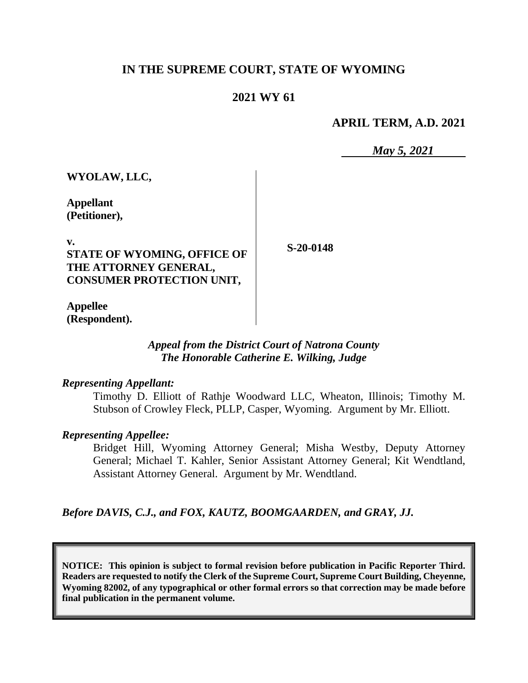## **IN THE SUPREME COURT, STATE OF WYOMING**

## **2021 WY 61**

#### **APRIL TERM, A.D. 2021**

*May 5, 2021*

**WYOLAW, LLC,**

**Appellant (Petitioner),**

**v. STATE OF WYOMING, OFFICE OF THE ATTORNEY GENERAL, CONSUMER PROTECTION UNIT,**

**S-20-0148**

**Appellee (Respondent).**

#### *Appeal from the District Court of Natrona County The Honorable Catherine E. Wilking, Judge*

#### *Representing Appellant:*

Timothy D. Elliott of Rathje Woodward LLC, Wheaton, Illinois; Timothy M. Stubson of Crowley Fleck, PLLP, Casper, Wyoming. Argument by Mr. Elliott.

#### *Representing Appellee:*

Bridget Hill, Wyoming Attorney General; Misha Westby, Deputy Attorney General; Michael T. Kahler, Senior Assistant Attorney General; Kit Wendtland, Assistant Attorney General. Argument by Mr. Wendtland.

*Before DAVIS, C.J., and FOX, KAUTZ, BOOMGAARDEN, and GRAY, JJ.*

**NOTICE: This opinion is subject to formal revision before publication in Pacific Reporter Third. Readers are requested to notify the Clerk of the Supreme Court, Supreme Court Building, Cheyenne, Wyoming 82002, of any typographical or other formal errors so that correction may be made before final publication in the permanent volume.**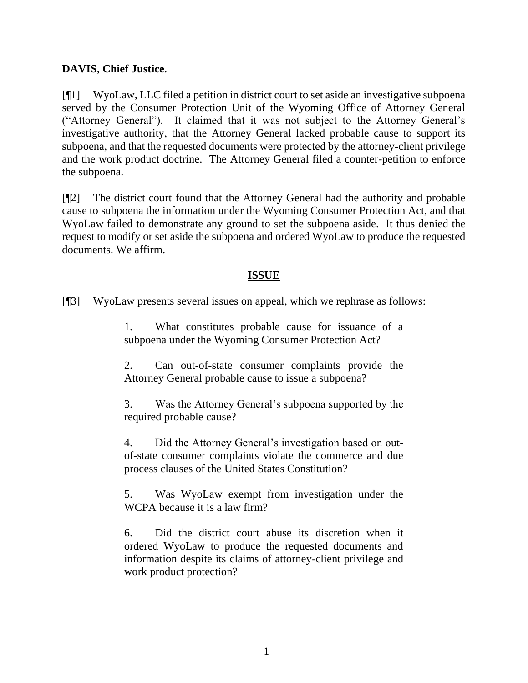## **DAVIS**, **Chief Justice**.

[¶1] WyoLaw, LLC filed a petition in district court to set aside an investigative subpoena served by the Consumer Protection Unit of the Wyoming Office of Attorney General ("Attorney General"). It claimed that it was not subject to the Attorney General's investigative authority, that the Attorney General lacked probable cause to support its subpoena, and that the requested documents were protected by the attorney-client privilege and the work product doctrine. The Attorney General filed a counter-petition to enforce the subpoena.

[¶2] The district court found that the Attorney General had the authority and probable cause to subpoena the information under the Wyoming Consumer Protection Act, and that WyoLaw failed to demonstrate any ground to set the subpoena aside. It thus denied the request to modify or set aside the subpoena and ordered WyoLaw to produce the requested documents. We affirm.

## **ISSUE**

[¶3] WyoLaw presents several issues on appeal, which we rephrase as follows:

1. What constitutes probable cause for issuance of a subpoena under the Wyoming Consumer Protection Act?

2. Can out-of-state consumer complaints provide the Attorney General probable cause to issue a subpoena?

3. Was the Attorney General's subpoena supported by the required probable cause?

4. Did the Attorney General's investigation based on outof-state consumer complaints violate the commerce and due process clauses of the United States Constitution?

5. Was WyoLaw exempt from investigation under the WCPA because it is a law firm?

6. Did the district court abuse its discretion when it ordered WyoLaw to produce the requested documents and information despite its claims of attorney-client privilege and work product protection?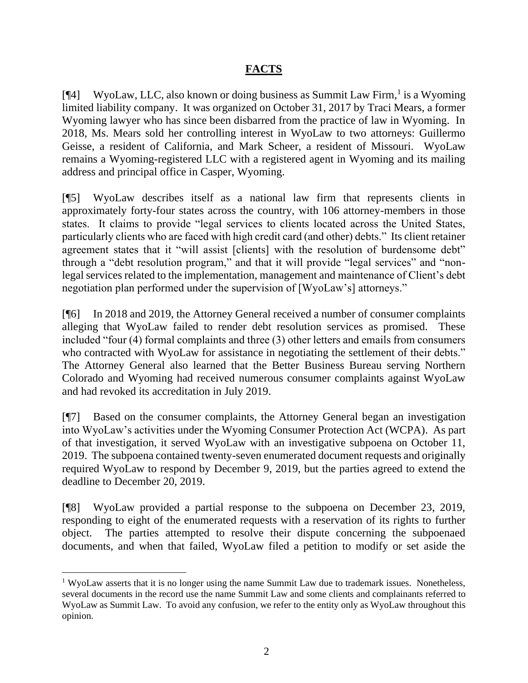## **FACTS**

[¶4] WyoLaw, LLC, also known or doing business as Summit Law Firm,<sup>1</sup> is a Wyoming limited liability company. It was organized on October 31, 2017 by Traci Mears, a former Wyoming lawyer who has since been disbarred from the practice of law in Wyoming. In 2018, Ms. Mears sold her controlling interest in WyoLaw to two attorneys: Guillermo Geisse, a resident of California, and Mark Scheer, a resident of Missouri. WyoLaw remains a Wyoming-registered LLC with a registered agent in Wyoming and its mailing address and principal office in Casper, Wyoming.

[¶5] WyoLaw describes itself as a national law firm that represents clients in approximately forty-four states across the country, with 106 attorney-members in those states. It claims to provide "legal services to clients located across the United States, particularly clients who are faced with high credit card (and other) debts." Its client retainer agreement states that it "will assist [clients] with the resolution of burdensome debt" through a "debt resolution program," and that it will provide "legal services" and "nonlegal services related to the implementation, management and maintenance of Client's debt negotiation plan performed under the supervision of [WyoLaw's] attorneys."

[¶6] In 2018 and 2019, the Attorney General received a number of consumer complaints alleging that WyoLaw failed to render debt resolution services as promised. These included "four (4) formal complaints and three (3) other letters and emails from consumers who contracted with WyoLaw for assistance in negotiating the settlement of their debts." The Attorney General also learned that the Better Business Bureau serving Northern Colorado and Wyoming had received numerous consumer complaints against WyoLaw and had revoked its accreditation in July 2019.

[¶7] Based on the consumer complaints, the Attorney General began an investigation into WyoLaw's activities under the Wyoming Consumer Protection Act (WCPA). As part of that investigation, it served WyoLaw with an investigative subpoena on October 11, 2019. The subpoena contained twenty-seven enumerated document requests and originally required WyoLaw to respond by December 9, 2019, but the parties agreed to extend the deadline to December 20, 2019.

[¶8] WyoLaw provided a partial response to the subpoena on December 23, 2019, responding to eight of the enumerated requests with a reservation of its rights to further object. The parties attempted to resolve their dispute concerning the subpoenaed documents, and when that failed, WyoLaw filed a petition to modify or set aside the

<sup>&</sup>lt;sup>1</sup> WyoLaw asserts that it is no longer using the name Summit Law due to trademark issues. Nonetheless, several documents in the record use the name Summit Law and some clients and complainants referred to WyoLaw as Summit Law. To avoid any confusion, we refer to the entity only as WyoLaw throughout this opinion.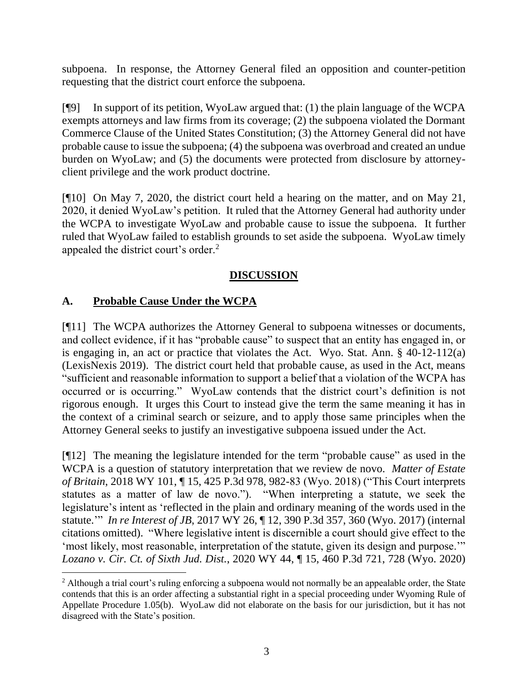subpoena. In response, the Attorney General filed an opposition and counter-petition requesting that the district court enforce the subpoena.

[¶9] In support of its petition, WyoLaw argued that: (1) the plain language of the WCPA exempts attorneys and law firms from its coverage; (2) the subpoena violated the Dormant Commerce Clause of the United States Constitution; (3) the Attorney General did not have probable cause to issue the subpoena; (4) the subpoena was overbroad and created an undue burden on WyoLaw; and (5) the documents were protected from disclosure by attorneyclient privilege and the work product doctrine.

[¶10] On May 7, 2020, the district court held a hearing on the matter, and on May 21, 2020, it denied WyoLaw's petition. It ruled that the Attorney General had authority under the WCPA to investigate WyoLaw and probable cause to issue the subpoena. It further ruled that WyoLaw failed to establish grounds to set aside the subpoena. WyoLaw timely appealed the district court's order.<sup>2</sup>

# **DISCUSSION**

# **A. Probable Cause Under the WCPA**

[¶11] The WCPA authorizes the Attorney General to subpoena witnesses or documents, and collect evidence, if it has "probable cause" to suspect that an entity has engaged in, or is engaging in, an act or practice that violates the Act. Wyo. Stat. Ann. § 40-12-112(a) (LexisNexis 2019). The district court held that probable cause, as used in the Act, means "sufficient and reasonable information to support a belief that a violation of the WCPA has occurred or is occurring." WyoLaw contends that the district court's definition is not rigorous enough. It urges this Court to instead give the term the same meaning it has in the context of a criminal search or seizure, and to apply those same principles when the Attorney General seeks to justify an investigative subpoena issued under the Act.

[¶12] The meaning the legislature intended for the term "probable cause" as used in the WCPA is a question of statutory interpretation that we review de novo. *Matter of Estate of Britain*, 2018 WY 101, ¶ 15, 425 P.3d 978, 982-83 (Wyo. 2018) ("This Court interprets statutes as a matter of law de novo."). "When interpreting a statute, we seek the legislature's intent as 'reflected in the plain and ordinary meaning of the words used in the statute.'" *In re Interest of JB*, 2017 WY 26, ¶ 12, 390 P.3d 357, 360 (Wyo. 2017) (internal citations omitted). "Where legislative intent is discernible a court should give effect to the 'most likely, most reasonable, interpretation of the statute, given its design and purpose.'" *Lozano v. Cir. Ct. of Sixth Jud. Dist.*, 2020 WY 44, ¶ 15, 460 P.3d 721, 728 (Wyo. 2020)

<sup>&</sup>lt;sup>2</sup> Although a trial court's ruling enforcing a subpoena would not normally be an appealable order, the State contends that this is an order affecting a substantial right in a special proceeding under Wyoming Rule of Appellate Procedure 1.05(b). WyoLaw did not elaborate on the basis for our jurisdiction, but it has not disagreed with the State's position.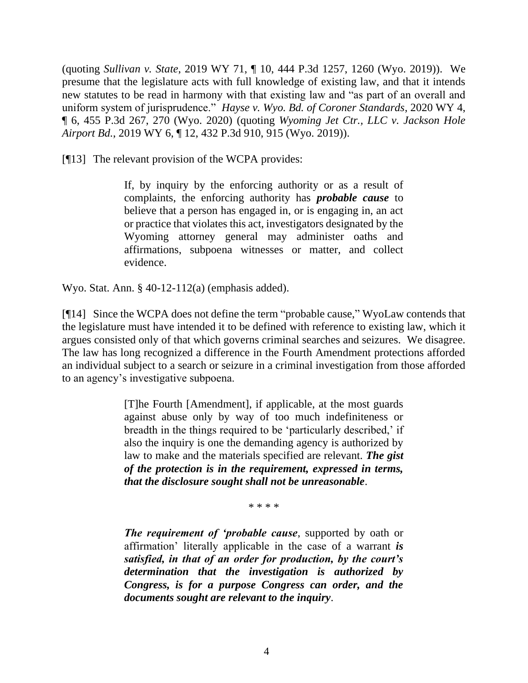(quoting *Sullivan v. State*, 2019 WY 71, ¶ 10, 444 P.3d 1257, 1260 (Wyo. 2019)). We presume that the legislature acts with full knowledge of existing law, and that it intends new statutes to be read in harmony with that existing law and "as part of an overall and uniform system of jurisprudence." *Hayse v. Wyo. Bd. of Coroner Standards*, 2020 WY 4, ¶ 6, 455 P.3d 267, 270 (Wyo. 2020) (quoting *Wyoming Jet Ctr., LLC v. Jackson Hole Airport Bd.*, 2019 WY 6, ¶ 12, 432 P.3d 910, 915 (Wyo. 2019)).

[¶13] The relevant provision of the WCPA provides:

If, by inquiry by the enforcing authority or as a result of complaints, the enforcing authority has *probable cause* to believe that a person has engaged in, or is engaging in, an act or practice that violates this act, investigators designated by the Wyoming attorney general may administer oaths and affirmations, subpoena witnesses or matter, and collect evidence.

Wyo. Stat. Ann. § 40-12-112(a) (emphasis added).

[¶14] Since the WCPA does not define the term "probable cause," WyoLaw contends that the legislature must have intended it to be defined with reference to existing law, which it argues consisted only of that which governs criminal searches and seizures. We disagree. The law has long recognized a difference in the Fourth Amendment protections afforded an individual subject to a search or seizure in a criminal investigation from those afforded to an agency's investigative subpoena.

> [T]he Fourth [Amendment], if applicable, at the most guards against abuse only by way of too much indefiniteness or breadth in the things required to be 'particularly described,' if also the inquiry is one the demanding agency is authorized by law to make and the materials specified are relevant. *The gist of the protection is in the requirement, expressed in terms, that the disclosure sought shall not be unreasonable*.

> > \* \* \* \*

*The requirement of 'probable cause*, supported by oath or affirmation' literally applicable in the case of a warrant *is satisfied, in that of an order for production, by the court's determination that the investigation is authorized by Congress, is for a purpose Congress can order, and the documents sought are relevant to the inquiry*.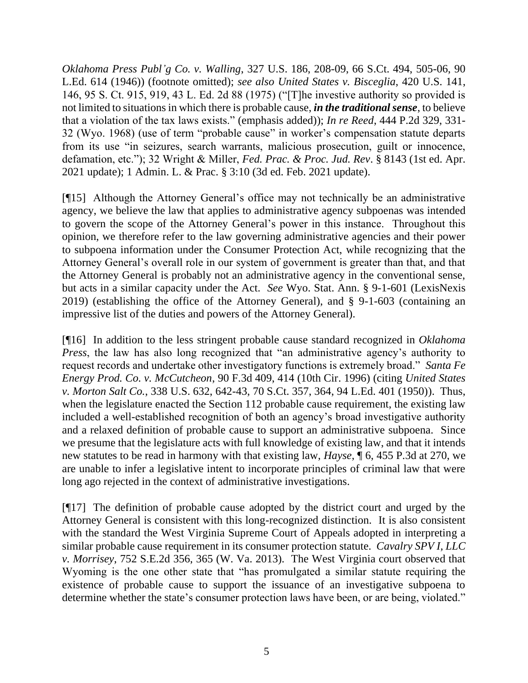*Oklahoma Press Publ'g Co. v. Walling*, 327 U.S. 186, 208-09, 66 S.Ct. 494, 505-06, 90 L.Ed. 614 (1946)) (footnote omitted); *see also United States v. Bisceglia*, 420 U.S. 141, 146, 95 S. Ct. 915, 919, 43 L. Ed. 2d 88 (1975) ("[T]he investive authority so provided is not limited to situations in which there is probable cause, *in the traditional sense*, to believe that a violation of the tax laws exists." (emphasis added)); *In re Reed*, 444 P.2d 329, 331- 32 (Wyo. 1968) (use of term "probable cause" in worker's compensation statute departs from its use "in seizures, search warrants, malicious prosecution, guilt or innocence, defamation, etc."); 32 Wright & Miller, *Fed. Prac. & Proc. Jud. Rev*. § 8143 (1st ed. Apr. 2021 update); 1 Admin. L. & Prac. § 3:10 (3d ed. Feb. 2021 update).

[¶15] Although the Attorney General's office may not technically be an administrative agency, we believe the law that applies to administrative agency subpoenas was intended to govern the scope of the Attorney General's power in this instance. Throughout this opinion, we therefore refer to the law governing administrative agencies and their power to subpoena information under the Consumer Protection Act, while recognizing that the Attorney General's overall role in our system of government is greater than that, and that the Attorney General is probably not an administrative agency in the conventional sense, but acts in a similar capacity under the Act. *See* Wyo. Stat. Ann. § 9-1-601 (LexisNexis 2019) (establishing the office of the Attorney General), and § 9-1-603 (containing an impressive list of the duties and powers of the Attorney General).

[¶16] In addition to the less stringent probable cause standard recognized in *Oklahoma Press*, the law has also long recognized that "an administrative agency's authority to request records and undertake other investigatory functions is extremely broad." *Santa Fe Energy Prod. Co. v. McCutcheon*, 90 F.3d 409, 414 (10th Cir. 1996) (citing *[United States](http://www.westlaw.com/Link/Document/FullText?findType=Y&serNum=1950119699&pubNum=0000708&originatingDoc=I8fa81c2b933111d9a707f4371c9c34f0&refType=RP&fi=co_pp_sp_708_364&originationContext=document&vr=3.0&rs=cblt1.0&transitionType=DocumentItem&contextData=(sc.UserEnteredCitation)#co_pp_sp_708_364)  v. Morton Salt Co.*[, 338 U.S. 632, 642-43, 70 S.Ct. 357, 364, 94 L.Ed. 401 \(1950\)\)](http://www.westlaw.com/Link/Document/FullText?findType=Y&serNum=1950119699&pubNum=0000708&originatingDoc=I8fa81c2b933111d9a707f4371c9c34f0&refType=RP&fi=co_pp_sp_708_364&originationContext=document&vr=3.0&rs=cblt1.0&transitionType=DocumentItem&contextData=(sc.UserEnteredCitation)#co_pp_sp_708_364). Thus, when the legislature enacted the Section 112 probable cause requirement, the existing law included a well-established recognition of both an agency's broad investigative authority and a relaxed definition of probable cause to support an administrative subpoena. Since we presume that the legislature acts with full knowledge of existing law, and that it intends new statutes to be read in harmony with that existing law, *Hayse*, ¶ 6, 455 P.3d at 270, we are unable to infer a legislative intent to incorporate principles of criminal law that were long ago rejected in the context of administrative investigations.

[¶17] The definition of probable cause adopted by the district court and urged by the Attorney General is consistent with this long-recognized distinction. It is also consistent with the standard the West Virginia Supreme Court of Appeals adopted in interpreting a similar probable cause requirement in its consumer protection statute. *Cavalry SPV I, LLC v. Morrisey*, 752 S.E.2d 356, 365 (W. Va. 2013). The West Virginia court observed that Wyoming is the one other state that "has promulgated a similar statute requiring the existence of probable cause to support the issuance of an investigative subpoena to determine whether the state's consumer protection laws have been, or are being, violated."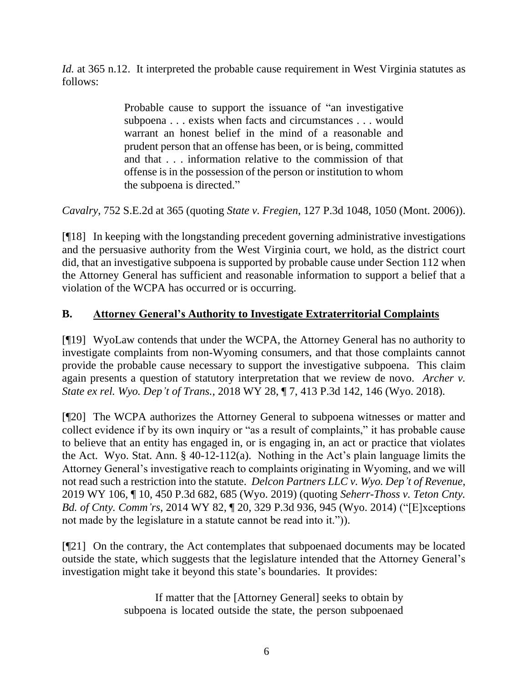*Id.* at 365 n.12. It interpreted the probable cause requirement in West Virginia statutes as follows:

> Probable cause to support the issuance of "an investigative subpoena . . . exists when facts and circumstances . . . would warrant an honest belief in the mind of a reasonable and prudent person that an offense has been, or is being, committed and that . . . information relative to the commission of that offense is in the possession of the person or institution to whom the subpoena is directed."

*Cavalry*, 752 S.E.2d at 365 (quoting *State v. Fregien*, 127 P.3d 1048, 1050 (Mont. 2006)).

[¶18] In keeping with the longstanding precedent governing administrative investigations and the persuasive authority from the West Virginia court, we hold, as the district court did, that an investigative subpoena is supported by probable cause under Section 112 when the Attorney General has sufficient and reasonable information to support a belief that a violation of the WCPA has occurred or is occurring.

# **B. Attorney General's Authority to Investigate Extraterritorial Complaints**

[¶19] WyoLaw contends that under the WCPA, the Attorney General has no authority to investigate complaints from non-Wyoming consumers, and that those complaints cannot provide the probable cause necessary to support the investigative subpoena. This claim again presents a question of statutory interpretation that we review de novo. *Archer v. State ex rel. Wyo. Dep't of Trans.*, 2018 WY 28, ¶ 7, 413 P.3d 142, 146 (Wyo. 2018).

[¶20] The WCPA authorizes the Attorney General to subpoena witnesses or matter and collect evidence if by its own inquiry or "as a result of complaints," it has probable cause to believe that an entity has engaged in, or is engaging in, an act or practice that violates the Act. Wyo. Stat. Ann. § 40-12-112(a). Nothing in the Act's plain language limits the Attorney General's investigative reach to complaints originating in Wyoming, and we will not read such a restriction into the statute. *Delcon Partners LLC v. Wyo. Dep't of Revenue*, 2019 WY 106, ¶ 10, 450 P.3d 682, 685 (Wyo. 2019) (quoting *Seherr-Thoss v. Teton Cnty. Bd. of Cnty. Comm'rs*, 2014 WY 82, ¶ 20, 329 P.3d 936, 945 (Wyo. 2014) ("[E]xceptions not made by the legislature in a statute cannot be read into it.")).

[¶21] On the contrary, the Act contemplates that subpoenaed documents may be located outside the state, which suggests that the legislature intended that the Attorney General's investigation might take it beyond this state's boundaries. It provides:

> If matter that the [Attorney General] seeks to obtain by subpoena is located outside the state, the person subpoenaed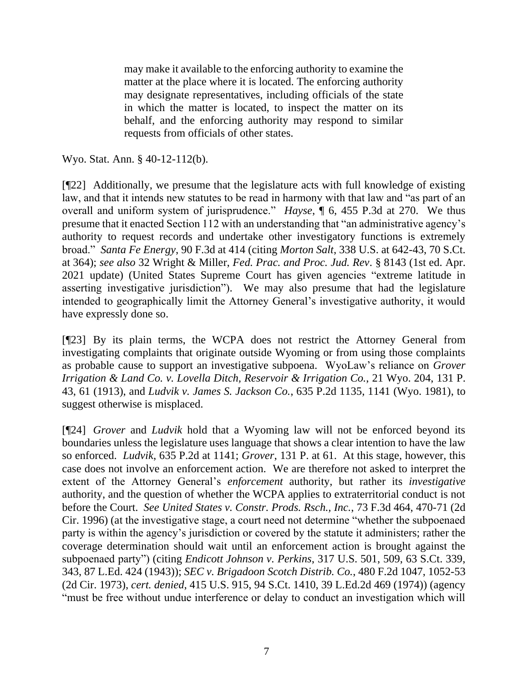may make it available to the enforcing authority to examine the matter at the place where it is located. The enforcing authority may designate representatives, including officials of the state in which the matter is located, to inspect the matter on its behalf, and the enforcing authority may respond to similar requests from officials of other states.

Wyo. Stat. Ann. § 40-12-112(b).

[¶22] Additionally, we presume that the legislature acts with full knowledge of existing law, and that it intends new statutes to be read in harmony with that law and "as part of an overall and uniform system of jurisprudence." *Hayse*, ¶ 6, 455 P.3d at 270. We thus presume that it enacted Section 112 with an understanding that "an administrative agency's authority to request records and undertake other investigatory functions is extremely broad." *Santa Fe Energy*, 90 F.3d at 414 (citing *Morton Salt*[, 338 U.S. at 642-43, 70 S.Ct.](http://www.westlaw.com/Link/Document/FullText?findType=Y&serNum=1950119699&pubNum=0000708&originatingDoc=I8fa81c2b933111d9a707f4371c9c34f0&refType=RP&fi=co_pp_sp_708_364&originationContext=document&vr=3.0&rs=cblt1.0&transitionType=DocumentItem&contextData=(sc.UserEnteredCitation)#co_pp_sp_708_364)  [at 364\);](http://www.westlaw.com/Link/Document/FullText?findType=Y&serNum=1950119699&pubNum=0000708&originatingDoc=I8fa81c2b933111d9a707f4371c9c34f0&refType=RP&fi=co_pp_sp_708_364&originationContext=document&vr=3.0&rs=cblt1.0&transitionType=DocumentItem&contextData=(sc.UserEnteredCitation)#co_pp_sp_708_364) *see also* 32 Wright & Miller, *Fed. Prac. and Proc. Jud. Rev*. § 8143 (1st ed. Apr. 2021 update) (United States Supreme Court has given agencies "extreme latitude in asserting investigative jurisdiction"). We may also presume that had the legislature intended to geographically limit the Attorney General's investigative authority, it would have expressly done so.

[¶23] By its plain terms, the WCPA does not restrict the Attorney General from investigating complaints that originate outside Wyoming or from using those complaints as probable cause to support an investigative subpoena. WyoLaw's reliance on *Grover Irrigation & Land Co. v. Lovella Ditch, Reservoir & Irrigation Co.*, 21 Wyo. 204, 131 P. 43, 61 (1913), and *Ludvik v. James S. Jackson Co.*, 635 P.2d 1135, 1141 (Wyo. 1981), to suggest otherwise is misplaced.

[¶24] *Grover* and *Ludvik* hold that a Wyoming law will not be enforced beyond its boundaries unless the legislature uses language that shows a clear intention to have the law so enforced. *Ludvik*, 635 P.2d at 1141; *Grover*, 131 P. at 61. At this stage, however, this case does not involve an enforcement action. We are therefore not asked to interpret the extent of the Attorney General's *enforcement* authority, but rather its *investigative* authority, and the question of whether the WCPA applies to extraterritorial conduct is not before the Court. *See United States v. Constr. Prods. Rsch., Inc.*, 73 F.3d 464, 470-71 (2d Cir. 1996) (at the investigative stage, a court need not determine "whether the subpoenaed party is within the agency's jurisdiction or covered by the statute it administers; rather the coverage determination should wait until an enforcement action is brought against the subpoenaed party") (citing *Endicott Johnson v. Perkins*, 317 U.S. 501, 509, 63 S.Ct. 339, 343, 87 L.Ed. 424 (1943)); *SEC v. Brigadoon Scotch Distrib. Co.*, 480 F.2d 1047, 1052-53 (2d Cir. 1973), *cert. denied*, 415 U.S. 915, 94 S.Ct. 1410, 39 L.Ed.2d 469 (1974)) (agency "must be free without undue interference or delay to conduct an investigation which will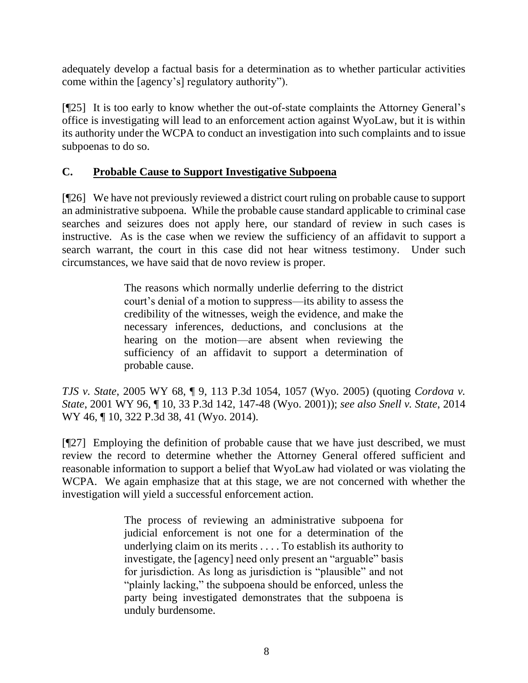adequately develop a factual basis for a determination as to whether particular activities come within the [agency's] regulatory authority").

[¶25] It is too early to know whether the out-of-state complaints the Attorney General's office is investigating will lead to an enforcement action against WyoLaw, but it is within its authority under the WCPA to conduct an investigation into such complaints and to issue subpoenas to do so.

## **C. Probable Cause to Support Investigative Subpoena**

[¶26] We have not previously reviewed a district court ruling on probable cause to support an administrative subpoena. While the probable cause standard applicable to criminal case searches and seizures does not apply here, our standard of review in such cases is instructive. As is the case when we review the sufficiency of an affidavit to support a search warrant, the court in this case did not hear witness testimony. Under such circumstances, we have said that de novo review is proper.

> The reasons which normally underlie deferring to the district court's denial of a motion to suppress—its ability to assess the credibility of the witnesses, weigh the evidence, and make the necessary inferences, deductions, and conclusions at the hearing on the motion—are absent when reviewing the sufficiency of an affidavit to support a determination of probable cause.

*TJS v. State*[, 2005 WY 68, ¶ 9, 113 P.3d 1054, 1057 \(Wyo.](http://www.westlaw.com/Link/Document/FullText?findType=Y&serNum=2006802486&pubNum=0004645&originatingDoc=I1d8041e0c0c211e3a659df62eba144e8&refType=RP&fi=co_pp_sp_4645_1057&originationContext=document&vr=3.0&rs=cblt1.0&transitionType=DocumentItem&contextData=(sc.UserEnteredCitation)#co_pp_sp_4645_1057) 2005) (quoting *[Cordova v.](http://www.westlaw.com/Link/Document/FullText?findType=Y&serNum=2001879962&pubNum=4645&originatingDoc=Ib7d348dbf41811d9b386b232635db992&refType=RP&originationContext=document&vr=3.0&rs=cblt1.0&transitionType=DocumentItem&contextData=(sc.Search))  State*[, 2001 WY 96, ¶ 10, 33 P.3d 142, 147-48](http://www.westlaw.com/Link/Document/FullText?findType=Y&serNum=2001879962&pubNum=4645&originatingDoc=Ib7d348dbf41811d9b386b232635db992&refType=RP&originationContext=document&vr=3.0&rs=cblt1.0&transitionType=DocumentItem&contextData=(sc.Search)) (Wyo. 2001)); *see also Snell v. State*, 2014 WY 46, ¶ 10, 322 P.3d 38, 41 (Wyo. 2014).

[¶27] Employing the definition of probable cause that we have just described, we must review the record to determine whether the Attorney General offered sufficient and reasonable information to support a belief that WyoLaw had violated or was violating the WCPA. We again emphasize that at this stage, we are not concerned with whether the investigation will yield a successful enforcement action.

> The process of reviewing an administrative subpoena for judicial enforcement is not one for a determination of the underlying claim on its merits . . . . To establish its authority to investigate, the [agency] need only present an "arguable" basis for jurisdiction. As long as jurisdiction is "plausible" and not "plainly lacking," the subpoena should be enforced, unless the party being investigated demonstrates that the subpoena is unduly burdensome.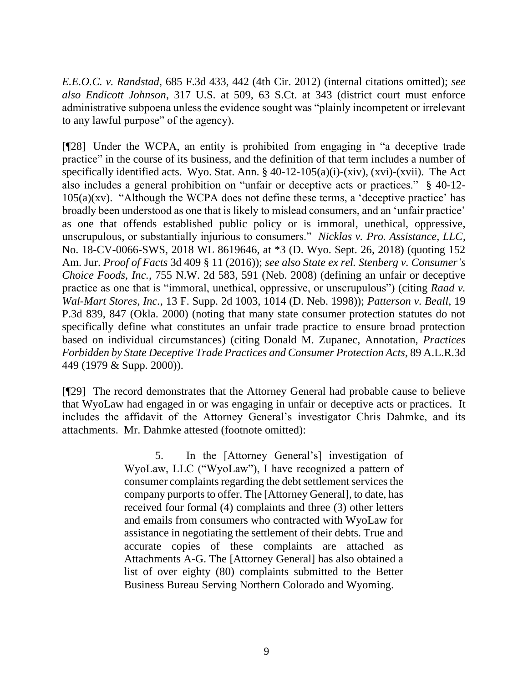*E.E.O.C. v. Randstad*, 685 F.3d 433, 442 (4th Cir. 2012) (internal citations omitted); *see also Endicott Johnson*, 317 U.S. at 509, 63 S.Ct. at 343 (district court must enforce administrative subpoena unless the evidence sought was "plainly incompetent or irrelevant to any lawful purpose" of the agency).

[¶28] Under the WCPA, an entity is prohibited from engaging in "a deceptive trade practice" in the course of its business, and the definition of that term includes a number of specifically identified acts. Wyo. Stat. Ann.  $\S$  40-12-105(a)(i)-(xiv), (xvi)-(xvii). The Act also includes a general prohibition on "unfair or deceptive acts or practices." § 40-12-  $105(a)(xv)$ . "Although the WCPA does not define these terms, a 'deceptive practice' has broadly been understood as one that is likely to mislead consumers, and an 'unfair practice' as one that offends established public policy or is immoral, unethical, oppressive, unscrupulous, or substantially injurious to consumers." *Nicklas v. Pro. Assistance, LLC*, No. 18-CV-0066-SWS, 2018 WL 8619646, at \*3 (D. Wyo. Sept. 26, 2018) (quoting 152 Am. Jur. *Proof of Facts* 3d 409 § 11 (2016)); *see also State ex rel. Stenberg v. Consumer's Choice Foods, Inc.*, 755 N.W. 2d 583, 591 (Neb. 2008) (defining an unfair or deceptive practice as one that is "immoral, unethical, oppressive, or unscrupulous") (citing *Raad v. Wal-Mart Stores, Inc.*, 13 F. Supp. 2d 1003, 1014 (D. Neb. 1998)); *Patterson v. Beall*, 19 P.3d 839, 847 (Okla. 2000) (noting that many state consumer protection statutes do not specifically define what constitutes an unfair trade practice to ensure broad protection based on individual circumstances) (citing Donald M. Zupanec, Annotation, *Practices Forbidden by State Deceptive Trade Practices and Consumer Protection Acts*, 89 A.L.R.3d 449 (1979 & Supp. 2000)).

[¶29] The record demonstrates that the Attorney General had probable cause to believe that WyoLaw had engaged in or was engaging in unfair or deceptive acts or practices. It includes the affidavit of the Attorney General's investigator Chris Dahmke, and its attachments. Mr. Dahmke attested (footnote omitted):

> 5. In the [Attorney General's] investigation of WyoLaw, LLC ("WyoLaw"), I have recognized a pattern of consumer complaints regarding the debt settlement services the company purports to offer. The [Attorney General], to date, has received four formal (4) complaints and three (3) other letters and emails from consumers who contracted with WyoLaw for assistance in negotiating the settlement of their debts. True and accurate copies of these complaints are attached as Attachments A-G. The [Attorney General] has also obtained a list of over eighty (80) complaints submitted to the Better Business Bureau Serving Northern Colorado and Wyoming.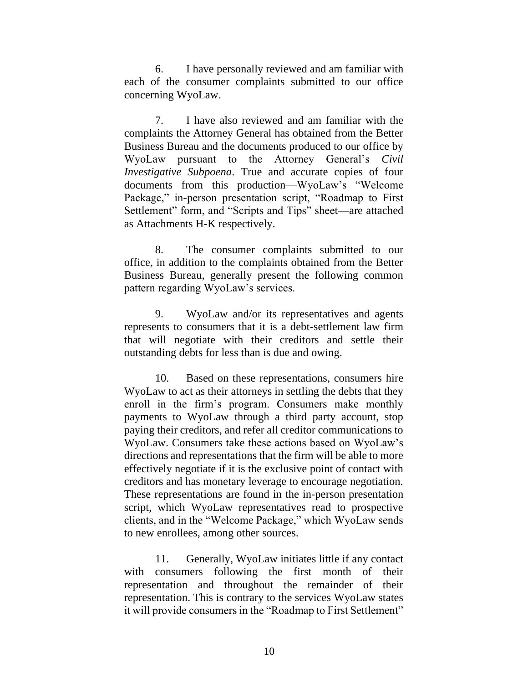6. I have personally reviewed and am familiar with each of the consumer complaints submitted to our office concerning WyoLaw.

7. I have also reviewed and am familiar with the complaints the Attorney General has obtained from the Better Business Bureau and the documents produced to our office by WyoLaw pursuant to the Attorney General's *Civil Investigative Subpoena*. True and accurate copies of four documents from this production—WyoLaw's "Welcome Package," in-person presentation script, "Roadmap to First Settlement" form, and "Scripts and Tips" sheet—are attached as Attachments H-K respectively.

8. The consumer complaints submitted to our office, in addition to the complaints obtained from the Better Business Bureau, generally present the following common pattern regarding WyoLaw's services.

9. WyoLaw and/or its representatives and agents represents to consumers that it is a debt-settlement law firm that will negotiate with their creditors and settle their outstanding debts for less than is due and owing.

10. Based on these representations, consumers hire WyoLaw to act as their attorneys in settling the debts that they enroll in the firm's program. Consumers make monthly payments to WyoLaw through a third party account, stop paying their creditors, and refer all creditor communications to WyoLaw. Consumers take these actions based on WyoLaw's directions and representations that the firm will be able to more effectively negotiate if it is the exclusive point of contact with creditors and has monetary leverage to encourage negotiation. These representations are found in the in-person presentation script, which WyoLaw representatives read to prospective clients, and in the "Welcome Package," which WyoLaw sends to new enrollees, among other sources.

11. Generally, WyoLaw initiates little if any contact with consumers following the first month of their representation and throughout the remainder of their representation. This is contrary to the services WyoLaw states it will provide consumers in the "Roadmap to First Settlement"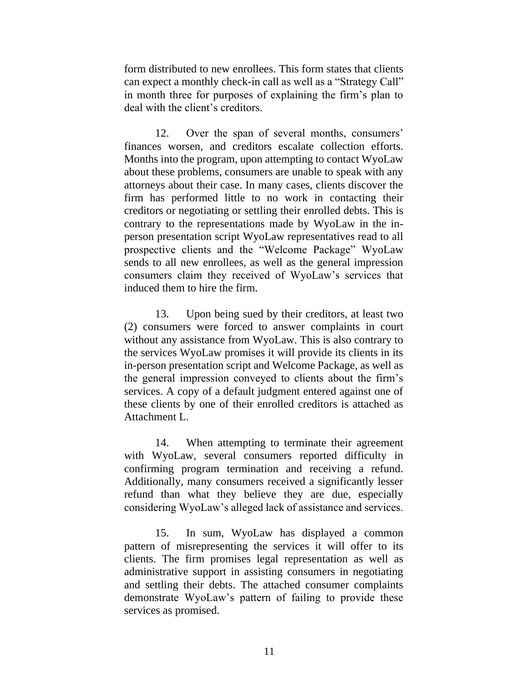form distributed to new enrollees. This form states that clients can expect a monthly check-in call as well as a "Strategy Call" in month three for purposes of explaining the firm's plan to deal with the client's creditors.

12. Over the span of several months, consumers' finances worsen, and creditors escalate collection efforts. Months into the program, upon attempting to contact WyoLaw about these problems, consumers are unable to speak with any attorneys about their case. In many cases, clients discover the firm has performed little to no work in contacting their creditors or negotiating or settling their enrolled debts. This is contrary to the representations made by WyoLaw in the inperson presentation script WyoLaw representatives read to all prospective clients and the "Welcome Package" WyoLaw sends to all new enrollees, as well as the general impression consumers claim they received of WyoLaw's services that induced them to hire the firm.

13. Upon being sued by their creditors, at least two (2) consumers were forced to answer complaints in court without any assistance from WyoLaw. This is also contrary to the services WyoLaw promises it will provide its clients in its in-person presentation script and Welcome Package, as well as the general impression conveyed to clients about the firm's services. A copy of a default judgment entered against one of these clients by one of their enrolled creditors is attached as Attachment L.

14. When attempting to terminate their agreement with WyoLaw, several consumers reported difficulty in confirming program termination and receiving a refund. Additionally, many consumers received a significantly lesser refund than what they believe they are due, especially considering WyoLaw's alleged lack of assistance and services.

15. In sum, WyoLaw has displayed a common pattern of misrepresenting the services it will offer to its clients. The firm promises legal representation as well as administrative support in assisting consumers in negotiating and settling their debts. The attached consumer complaints demonstrate WyoLaw's pattern of failing to provide these services as promised.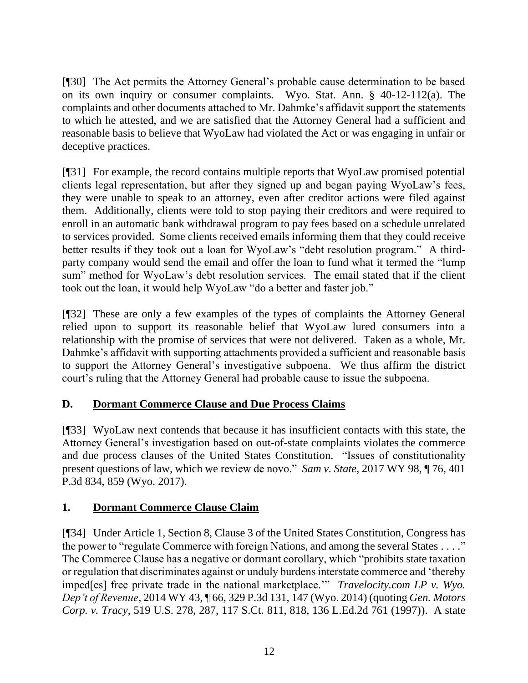[¶30] The Act permits the Attorney General's probable cause determination to be based on its own inquiry or consumer complaints. Wyo. Stat. Ann. § 40-12-112(a). The complaints and other documents attached to Mr. Dahmke's affidavit support the statements to which he attested, and we are satisfied that the Attorney General had a sufficient and reasonable basis to believe that WyoLaw had violated the Act or was engaging in unfair or deceptive practices.

[¶31] For example, the record contains multiple reports that WyoLaw promised potential clients legal representation, but after they signed up and began paying WyoLaw's fees, they were unable to speak to an attorney, even after creditor actions were filed against them. Additionally, clients were told to stop paying their creditors and were required to enroll in an automatic bank withdrawal program to pay fees based on a schedule unrelated to services provided. Some clients received emails informing them that they could receive better results if they took out a loan for WyoLaw's "debt resolution program." A thirdparty company would send the email and offer the loan to fund what it termed the "lump sum" method for WyoLaw's debt resolution services. The email stated that if the client took out the loan, it would help WyoLaw "do a better and faster job."

[¶32] These are only a few examples of the types of complaints the Attorney General relied upon to support its reasonable belief that WyoLaw lured consumers into a relationship with the promise of services that were not delivered. Taken as a whole, Mr. Dahmke's affidavit with supporting attachments provided a sufficient and reasonable basis to support the Attorney General's investigative subpoena. We thus affirm the district court's ruling that the Attorney General had probable cause to issue the subpoena.

# **D. Dormant Commerce Clause and Due Process Claims**

[¶33] WyoLaw next contends that because it has insufficient contacts with this state, the Attorney General's investigation based on out-of-state complaints violates the commerce and due process clauses of the United States Constitution. "Issues of constitutionality present questions of law, which we review de novo." *Sam v. State*, 2017 WY 98, ¶ 76, 401 P.3d 834, 859 (Wyo. 2017).

# **1. Dormant Commerce Clause Claim**

[¶34] Under Article 1, Section 8, Clause 3 of the United States Constitution, Congress has the power to "regulate Commerce with foreign Nations, and among the several States . . . ." The Commerce Clause has a negative or dormant corollary, which "prohibits state taxation or regulation that discriminates against or unduly burdens interstate commerce and 'thereby imped[es] free private trade in the national marketplace.'" *Travelocity.com LP v. Wyo. Dep't of Revenue*, 2014 WY 43, ¶ 66, 329 P.3d 131, 147 (Wyo. 2014) (quoting *[Gen. Motors](http://www.westlaw.com/Link/Document/FullText?findType=Y&serNum=1997052896&pubNum=0000708&originatingDoc=I8e74d6abbbea11e3a659df62eba144e8&refType=RP&fi=co_pp_sp_708_818&originationContext=document&vr=3.0&rs=cblt1.0&transitionType=DocumentItem&contextData=(sc.UserEnteredCitation)#co_pp_sp_708_818)  Corp. v. Tracy*[, 519 U.S. 278, 287, 117 S.Ct. 811, 818, 136 L.Ed.2d 761 \(1997\)\)](http://www.westlaw.com/Link/Document/FullText?findType=Y&serNum=1997052896&pubNum=0000708&originatingDoc=I8e74d6abbbea11e3a659df62eba144e8&refType=RP&fi=co_pp_sp_708_818&originationContext=document&vr=3.0&rs=cblt1.0&transitionType=DocumentItem&contextData=(sc.UserEnteredCitation)#co_pp_sp_708_818). A state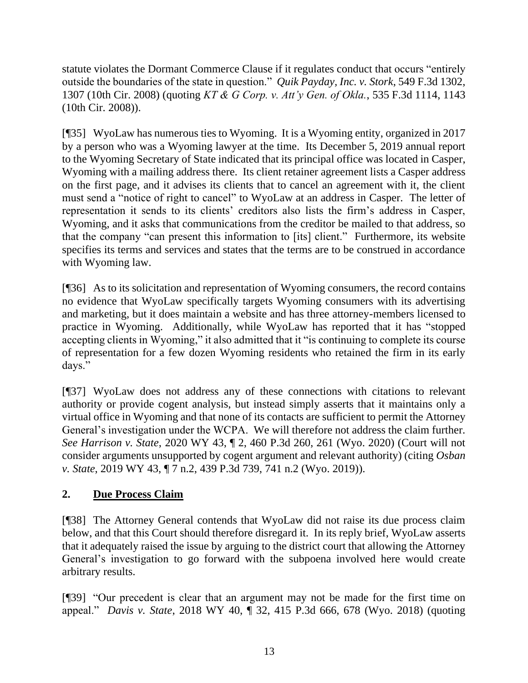statute violates the Dormant Commerce Clause if it regulates conduct that occurs "entirely outside the boundaries of the state in question." *Quik Payday, Inc. v. Stork*, 549 F.3d 1302, 1307 (10th Cir. 2008) (quoting *[KT & G Corp. v. Att'y Gen. of Okla.](http://www.westlaw.com/Link/Document/FullText?findType=Y&serNum=2016580170&pubNum=0000506&originatingDoc=I4892c2eec86611ddbc7bf97f340af743&refType=RP&fi=co_pp_sp_506_1143&originationContext=document&vr=3.0&rs=cblt1.0&transitionType=DocumentItem&contextData=(sc.UserEnteredCitation)#co_pp_sp_506_1143)*, 535 F.3d 1114, 1143 [\(10th Cir. 2008\)\)](http://www.westlaw.com/Link/Document/FullText?findType=Y&serNum=2016580170&pubNum=0000506&originatingDoc=I4892c2eec86611ddbc7bf97f340af743&refType=RP&fi=co_pp_sp_506_1143&originationContext=document&vr=3.0&rs=cblt1.0&transitionType=DocumentItem&contextData=(sc.UserEnteredCitation)#co_pp_sp_506_1143).

[¶35] WyoLaw has numerous ties to Wyoming. It is a Wyoming entity, organized in 2017 by a person who was a Wyoming lawyer at the time. Its December 5, 2019 annual report to the Wyoming Secretary of State indicated that its principal office was located in Casper, Wyoming with a mailing address there. Its client retainer agreement lists a Casper address on the first page, and it advises its clients that to cancel an agreement with it, the client must send a "notice of right to cancel" to WyoLaw at an address in Casper. The letter of representation it sends to its clients' creditors also lists the firm's address in Casper, Wyoming, and it asks that communications from the creditor be mailed to that address, so that the company "can present this information to [its] client." Furthermore, its website specifies its terms and services and states that the terms are to be construed in accordance with Wyoming law.

[¶36] As to its solicitation and representation of Wyoming consumers, the record contains no evidence that WyoLaw specifically targets Wyoming consumers with its advertising and marketing, but it does maintain a website and has three attorney-members licensed to practice in Wyoming. Additionally, while WyoLaw has reported that it has "stopped accepting clients in Wyoming," it also admitted that it "is continuing to complete its course of representation for a few dozen Wyoming residents who retained the firm in its early days."

[¶37] WyoLaw does not address any of these connections with citations to relevant authority or provide cogent analysis, but instead simply asserts that it maintains only a virtual office in Wyoming and that none of its contacts are sufficient to permit the Attorney General's investigation under the WCPA. We will therefore not address the claim further. *See Harrison v. State*, 2020 WY 43, ¶ 2, 460 P.3d 260, 261 (Wyo. 2020) (Court will not consider arguments unsupported by cogent argument and relevant authority) (citing *[Osban](http://www.westlaw.com/Link/Document/FullText?findType=Y&serNum=2048072264&pubNum=0004645&originatingDoc=I185b9b20705111ea99df8ae889484d86&refType=RP&fi=co_pp_sp_4645_741&originationContext=document&vr=3.0&rs=cblt1.0&transitionType=DocumentItem&contextData=(sc.Search)#co_pp_sp_4645_741)  v. State*[, 2019 WY 43, ¶ 7 n.2, 439 P.3d 739, 741 n.2 \(Wyo. 2019\)\)](http://www.westlaw.com/Link/Document/FullText?findType=Y&serNum=2048072264&pubNum=0004645&originatingDoc=I185b9b20705111ea99df8ae889484d86&refType=RP&fi=co_pp_sp_4645_741&originationContext=document&vr=3.0&rs=cblt1.0&transitionType=DocumentItem&contextData=(sc.Search)#co_pp_sp_4645_741).

# **2. Due Process Claim**

[¶38] The Attorney General contends that WyoLaw did not raise its due process claim below, and that this Court should therefore disregard it. In its reply brief, WyoLaw asserts that it adequately raised the issue by arguing to the district court that allowing the Attorney General's investigation to go forward with the subpoena involved here would create arbitrary results.

[¶39] "Our precedent is clear that an argument may not be made for the first time on appeal." *Davis v. State*, 2018 WY 40, ¶ 32, 415 P.3d 666, 678 (Wyo. 2018) (quoting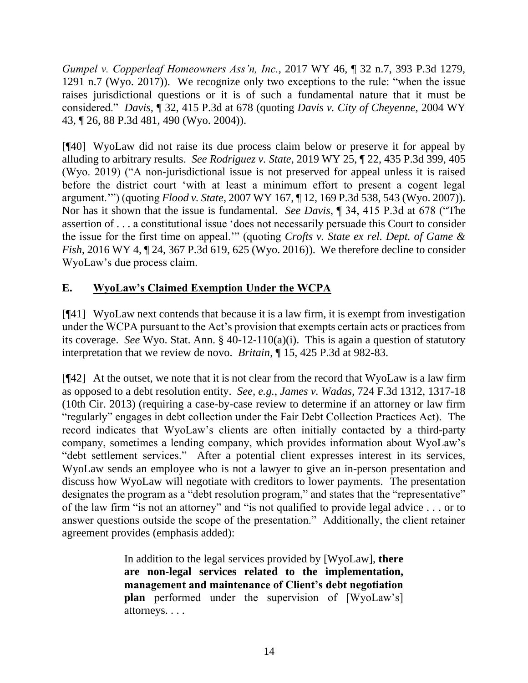*[Gumpel v. Copperleaf Homeowners Ass'n, Inc.](http://www.westlaw.com/Link/Document/FullText?findType=Y&serNum=2041574232&pubNum=0004645&originatingDoc=I6a012f703f7b11e884b4b523d54ea998&refType=RP&fi=co_pp_sp_4645_1291&originationContext=document&vr=3.0&rs=cblt1.0&transitionType=DocumentItem&contextData=(sc.Keycite)#co_pp_sp_4645_1291)*, 2017 WY 46, ¶ 32 n.7, 393 P.3d 1279, [1291 n.7 \(Wyo. 2017\)\)](http://www.westlaw.com/Link/Document/FullText?findType=Y&serNum=2041574232&pubNum=0004645&originatingDoc=I6a012f703f7b11e884b4b523d54ea998&refType=RP&fi=co_pp_sp_4645_1291&originationContext=document&vr=3.0&rs=cblt1.0&transitionType=DocumentItem&contextData=(sc.Keycite)#co_pp_sp_4645_1291). We recognize only two exceptions to the rule: "when the issue raises jurisdictional questions or it is of such a fundamental nature that it must be considered." *Davis,* ¶ 32, 415 P.3d at 678 (quoting *[Davis v. City of Cheyenne](http://www.westlaw.com/Link/Document/FullText?findType=Y&serNum=2004343473&pubNum=0004645&originatingDoc=I6a012f703f7b11e884b4b523d54ea998&refType=RP&fi=co_pp_sp_4645_490&originationContext=document&vr=3.0&rs=cblt1.0&transitionType=DocumentItem&contextData=(sc.Keycite)#co_pp_sp_4645_490)*, 2004 WY [43, ¶ 26, 88 P.3d 481, 490 \(Wyo. 2004\)\)](http://www.westlaw.com/Link/Document/FullText?findType=Y&serNum=2004343473&pubNum=0004645&originatingDoc=I6a012f703f7b11e884b4b523d54ea998&refType=RP&fi=co_pp_sp_4645_490&originationContext=document&vr=3.0&rs=cblt1.0&transitionType=DocumentItem&contextData=(sc.Keycite)#co_pp_sp_4645_490).

[¶40] WyoLaw did not raise its due process claim below or preserve it for appeal by alluding to arbitrary results. *See Rodriguez v. State*, 2019 WY 25, ¶ 22, 435 P.3d 399, 405 (Wyo. 2019) ("A non-jurisdictional issue is not preserved for appeal unless it is raised before the district court 'with at least a minimum effort to present a cogent legal argument.'") (quoting *Flood v. State*[, 2007 WY 167, ¶ 12, 169 P.3d 538, 543 \(Wyo. 2007\)\)](http://www.westlaw.com/Link/Document/FullText?findType=Y&serNum=2013803016&pubNum=0004645&originatingDoc=Ie4f3db003f9e11e9bb0cd983136a9739&refType=RP&fi=co_pp_sp_4645_543&originationContext=document&vr=3.0&rs=cblt1.0&transitionType=DocumentItem&contextData=(sc.Search)#co_pp_sp_4645_543). Nor has it shown that the issue is fundamental. *See Davis*, ¶ 34, 415 P.3d at 678 ("The assertion of . . . a constitutional issue 'does not necessarily persuade this Court to consider the issue for the first time on appeal.'" (quoting *[Crofts v. State ex rel. Dept. of Game &](http://www.westlaw.com/Link/Document/FullText?findType=Y&serNum=2037966979&pubNum=0004645&originatingDoc=I6a012f703f7b11e884b4b523d54ea998&refType=RP&fi=co_pp_sp_4645_625&originationContext=document&vr=3.0&rs=cblt1.0&transitionType=DocumentItem&contextData=(sc.Keycite)#co_pp_sp_4645_625)  Fish*[, 2016 WY 4, ¶ 24, 367 P.3d 619, 625 \(Wyo. 2016\)\)](http://www.westlaw.com/Link/Document/FullText?findType=Y&serNum=2037966979&pubNum=0004645&originatingDoc=I6a012f703f7b11e884b4b523d54ea998&refType=RP&fi=co_pp_sp_4645_625&originationContext=document&vr=3.0&rs=cblt1.0&transitionType=DocumentItem&contextData=(sc.Keycite)#co_pp_sp_4645_625). We therefore decline to consider WyoLaw's due process claim.

# **E. WyoLaw's Claimed Exemption Under the WCPA**

[¶41] WyoLaw next contends that because it is a law firm, it is exempt from investigation under the WCPA pursuant to the Act's provision that exempts certain acts or practices from its coverage. *See* Wyo. Stat. Ann. § 40-12-110(a)(i). This is again a question of statutory interpretation that we review de novo. *Britain*, ¶ 15, 425 P.3d at 982-83.

[¶42] At the outset, we note that it is not clear from the record that WyoLaw is a law firm as opposed to a debt resolution entity. *See, e.g.*, *James v. Wadas*, 724 F.3d 1312, 1317-18 (10th Cir. 2013) (requiring a case-by-case review to determine if an attorney or law firm "regularly" engages in debt collection under the Fair Debt Collection Practices Act). The record indicates that WyoLaw's clients are often initially contacted by a third-party company, sometimes a lending company, which provides information about WyoLaw's "debt settlement services." After a potential client expresses interest in its services, WyoLaw sends an employee who is not a lawyer to give an in-person presentation and discuss how WyoLaw will negotiate with creditors to lower payments. The presentation designates the program as a "debt resolution program," and states that the "representative" of the law firm "is not an attorney" and "is not qualified to provide legal advice . . . or to answer questions outside the scope of the presentation." Additionally, the client retainer agreement provides (emphasis added):

> In addition to the legal services provided by [WyoLaw], **there are non-legal services related to the implementation, management and maintenance of Client's debt negotiation plan** performed under the supervision of [WyoLaw's] attorneys. . . .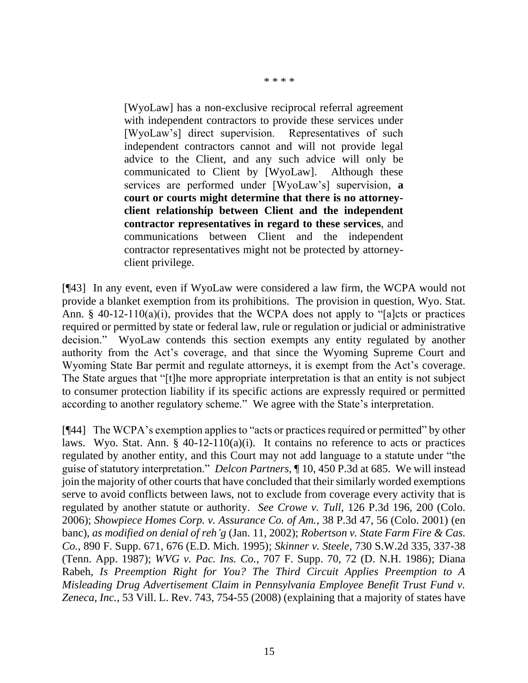\* \* \* \*

[WyoLaw] has a non-exclusive reciprocal referral agreement with independent contractors to provide these services under [WyoLaw's] direct supervision. Representatives of such independent contractors cannot and will not provide legal advice to the Client, and any such advice will only be communicated to Client by [WyoLaw]. Although these services are performed under [WyoLaw's] supervision, **a court or courts might determine that there is no attorneyclient relationship between Client and the independent contractor representatives in regard to these services**, and communications between Client and the independent contractor representatives might not be protected by attorneyclient privilege.

[¶43] In any event, even if WyoLaw were considered a law firm, the WCPA would not provide a blanket exemption from its prohibitions. The provision in question, Wyo. Stat. Ann.  $\S$  40-12-110(a)(i), provides that the WCPA does not apply to "[a]cts or practices required or permitted by state or federal law, rule or regulation or judicial or administrative decision." WyoLaw contends this section exempts any entity regulated by another authority from the Act's coverage, and that since the Wyoming Supreme Court and Wyoming State Bar permit and regulate attorneys, it is exempt from the Act's coverage. The State argues that "[t]he more appropriate interpretation is that an entity is not subject to consumer protection liability if its specific actions are expressly required or permitted according to another regulatory scheme." We agree with the State's interpretation.

[¶44] The WCPA's exemption applies to "acts or practices required or permitted" by other laws. Wyo. Stat. Ann.  $\S$  40-12-110(a)(i). It contains no reference to acts or practices regulated by another entity, and this Court may not add language to a statute under "the guise of statutory interpretation." *Delcon Partners*, ¶ 10, 450 P.3d at 685. We will instead join the majority of other courts that have concluded that their similarly worded exemptions serve to avoid conflicts between laws, not to exclude from coverage every activity that is regulated by another statute or authority. *See Crowe v. Tull*, 126 P.3d 196, 200 (Colo. 2006); *Showpiece Homes Corp. v. Assurance Co. of Am.*, 38 P.3d 47, 56 (Colo. 2001) (en banc), *as modified on denial of reh'g* (Jan. 11, 2002); *[Robertson v. State Farm Fire & Cas.](http://www.westlaw.com/Link/Document/FullText?findType=Y&serNum=1995134497&pubNum=345&originatingDoc=I525bd9e2f58f11d983e7e9deff98dc6f&refType=RP&fi=co_pp_sp_345_676&originationContext=document&vr=3.0&rs=cblt1.0&transitionType=DocumentItem&contextData=(sc.UserEnteredCitation)#co_pp_sp_345_676)  Co.*[, 890 F. Supp. 671, 676 \(E.D. Mich. 1995\);](http://www.westlaw.com/Link/Document/FullText?findType=Y&serNum=1995134497&pubNum=345&originatingDoc=I525bd9e2f58f11d983e7e9deff98dc6f&refType=RP&fi=co_pp_sp_345_676&originationContext=document&vr=3.0&rs=cblt1.0&transitionType=DocumentItem&contextData=(sc.UserEnteredCitation)#co_pp_sp_345_676) *Skinner v. Steele*[, 730 S.W.2d 335, 337-38](http://www.westlaw.com/Link/Document/FullText?findType=Y&serNum=1987069387&pubNum=713&originatingDoc=I525bd9e2f58f11d983e7e9deff98dc6f&refType=RP&fi=co_pp_sp_713_337&originationContext=document&vr=3.0&rs=cblt1.0&transitionType=DocumentItem&contextData=(sc.UserEnteredCitation)#co_pp_sp_713_337)  [\(Tenn. App. 1987\);](http://www.westlaw.com/Link/Document/FullText?findType=Y&serNum=1987069387&pubNum=713&originatingDoc=I525bd9e2f58f11d983e7e9deff98dc6f&refType=RP&fi=co_pp_sp_713_337&originationContext=document&vr=3.0&rs=cblt1.0&transitionType=DocumentItem&contextData=(sc.UserEnteredCitation)#co_pp_sp_713_337) *WVG v. Pac. Ins. Co.*, [707 F. Supp. 70, 72 \(D. N.H. 1986\);](http://www.westlaw.com/Link/Document/FullText?findType=Y&serNum=1989031006&pubNum=345&originatingDoc=I525bd9e2f58f11d983e7e9deff98dc6f&refType=RP&fi=co_pp_sp_345_72&originationContext=document&vr=3.0&rs=cblt1.0&transitionType=DocumentItem&contextData=(sc.UserEnteredCitation)#co_pp_sp_345_72) Diana Rabeh, *Is Preemption Right for You? The Third Circuit Applies Preemption to A Misleading Drug Advertisement Claim in Pennsylvania Employee Benefit Trust Fund v. Zeneca, Inc.*, 53 Vill. L. Rev. 743, 754-55 (2008) (explaining that a majority of states have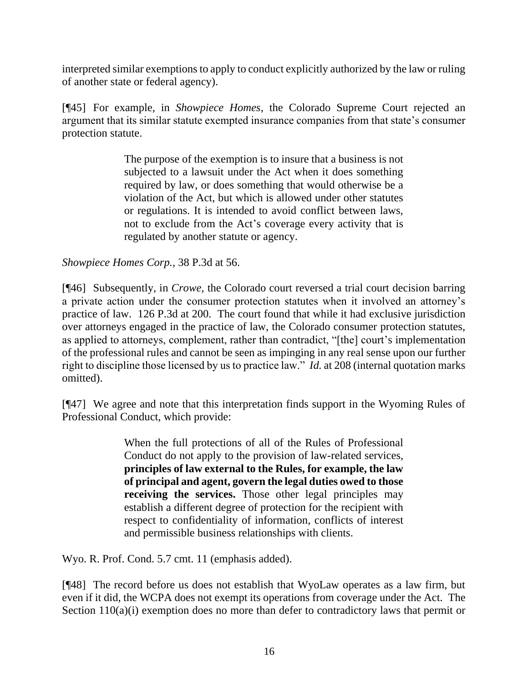interpreted similar exemptions to apply to conduct explicitly authorized by the law or ruling of another state or federal agency).

[¶45] For example, in *Showpiece Homes*, the Colorado Supreme Court rejected an argument that its similar statute exempted insurance companies from that state's consumer protection statute.

> The purpose of the exemption is to insure that a business is not subjected to a lawsuit under the Act when it does something required by law, or does something that would otherwise be a violation of the Act, but which is allowed under other statutes or regulations. It is intended to avoid conflict between laws, not to exclude from the Act's coverage every activity that is regulated by another statute or agency.

*Showpiece Homes Corp.*, 38 P.3d at 56.

[¶46] Subsequently, in *Crowe*, the Colorado court reversed a trial court decision barring a private action under the consumer protection statutes when it involved an attorney's practice of law. 126 P.3d at 200. The court found that while it had exclusive jurisdiction over attorneys engaged in the practice of law, the Colorado consumer protection statutes, as applied to attorneys, complement, rather than contradict, "[the] court's implementation of the professional rules and cannot be seen as impinging in any real sense upon our further right to discipline those licensed by us to practice law." *Id.* at 208 (internal quotation marks omitted).

[¶47] We agree and note that this interpretation finds support in the Wyoming Rules of Professional Conduct, which provide:

> When the full protections of all of the Rules of Professional Conduct do not apply to the provision of law-related services, **principles of law external to the Rules, for example, the law of principal and agent, govern the legal duties owed to those receiving the services.** Those other legal principles may establish a different degree of protection for the recipient with respect to confidentiality of information, conflicts of interest and permissible business relationships with clients.

Wyo. R. Prof. Cond. 5.7 cmt. 11 (emphasis added).

[¶48] The record before us does not establish that WyoLaw operates as a law firm, but even if it did, the WCPA does not exempt its operations from coverage under the Act. The Section 110(a)(i) exemption does no more than defer to contradictory laws that permit or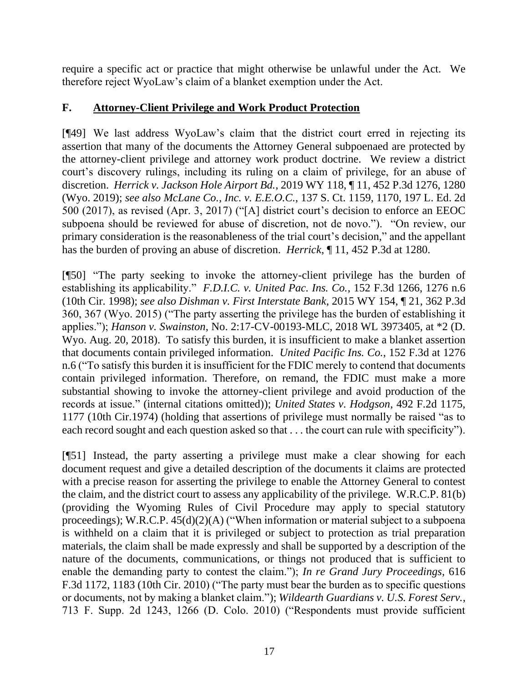require a specific act or practice that might otherwise be unlawful under the Act. We therefore reject WyoLaw's claim of a blanket exemption under the Act.

## **F. Attorney-Client Privilege and Work Product Protection**

[¶49] We last address WyoLaw's claim that the district court erred in rejecting its assertion that many of the documents the Attorney General subpoenaed are protected by the attorney-client privilege and attorney work product doctrine. We review a district court's discovery rulings, including its ruling on a claim of privilege, for an abuse of discretion. *Herrick v. Jackson Hole Airport Bd.*, 2019 WY 118, ¶ 11, 452 P.3d 1276, 1280 (Wyo. 2019); *see also McLane Co., Inc. v. E.E.O.C.*, 137 S. Ct. 1159, 1170, 197 L. Ed. 2d 500 (2017), as revised (Apr. 3, 2017) ("[A] district court's decision to enforce an EEOC subpoena should be reviewed for abuse of discretion, not de novo."). "On review, our primary consideration is the reasonableness of the trial court's decision," and the appellant has the burden of proving an abuse of discretion. *Herrick*, ¶ 11, 452 P.3d at 1280.

[¶50] "The party seeking to invoke the attorney-client privilege has the burden of establishing its applicability." *F.D.I.C. v. United Pac. Ins. Co.*, 152 F.3d 1266, 1276 n.6 (10th Cir. 1998); *see also Dishman v. First Interstate Bank*, 2015 WY 154, ¶ 21, 362 P.3d 360, 367 (Wyo. 2015) ("The party asserting the privilege has the burden of establishing it applies."); *Hanson v. Swainston*, No. 2:17-CV-00193-MLC, 2018 WL 3973405, at \*2 (D. Wyo. Aug. 20, 2018). To satisfy this burden, it is insufficient to make a blanket assertion that documents contain privileged information. *United Pacific Ins. Co.*, 152 F.3d at 1276 n.6 ("To satisfy this burden it is insufficient for the FDIC merely to contend that documents contain privileged information. Therefore, on remand, the FDIC must make a more substantial showing to invoke the attorney-client privilege and avoid production of the records at issue." (internal citations omitted)); *United States v. Hodgson*, 492 F.2d 1175, 1177 (10th Cir.1974) (holding that assertions of privilege must normally be raised "as to each record sought and each question asked so that . . . the court can rule with specificity").

[¶51] Instead, the party asserting a privilege must make a clear showing for each document request and give a detailed description of the documents it claims are protected with a precise reason for asserting the privilege to enable the Attorney General to contest the claim, and the district court to assess any applicability of the privilege. W.R.C.P. 81(b) (providing the Wyoming Rules of Civil Procedure may apply to special statutory proceedings); W.R.C.P. 45(d)(2)(A) ("When information or material subject to a subpoena is withheld on a claim that it is privileged or subject to protection as trial preparation materials, the claim shall be made expressly and shall be supported by a description of the nature of the documents, communications, or things not produced that is sufficient to enable the demanding party to contest the claim."); *In re Grand Jury Proceedings*, 616 F.3d 1172, 1183 (10th Cir. 2010) ("The party must bear the burden as to specific questions or documents, not by making a blanket claim."); *Wildearth Guardians v. U.S. Forest Serv.*, 713 F. Supp. 2d 1243, 1266 (D. Colo. 2010) ("Respondents must provide sufficient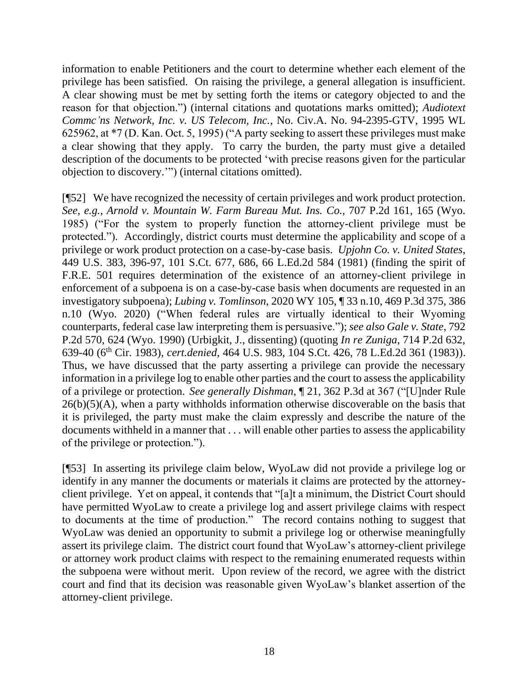information to enable Petitioners and the court to determine whether each element of the privilege has been satisfied. On raising the privilege, a general allegation is insufficient. A clear showing must be met by setting forth the items or category objected to and the reason for that objection.") (internal citations and quotations marks omitted); *Audiotext Commc'ns Network, Inc. v. US Telecom, Inc.*, No. Civ.A. No. 94-2395-GTV, 1995 WL 625962, at \*7 (D. Kan. Oct. 5, 1995) ("A party seeking to assert these privileges must make a clear showing that they apply. To carry the burden, the party must give a detailed description of the documents to be protected 'with precise reasons given for the particular objection to discovery.'") (internal citations omitted).

[¶52] We have recognized the necessity of certain privileges and work product protection. *See, e.g.*, *Arnold v. Mountain W. Farm Bureau Mut. Ins. Co.*, 707 P.2d 161, 165 (Wyo. 1985) ("For the system to properly function the attorney-client privilege must be protected."). Accordingly, district courts must determine the applicability and scope of a privilege or work product protection on a case-by-case basis. *Upjohn Co. v. United States*, 449 U.S. 383, 396-97, 101 S.Ct. 677, 686, 66 L.Ed.2d 584 (1981) (finding the spirit of F.R.E. 501 requires determination of the existence of an attorney-client privilege in enforcement of a subpoena is on a case-by-case basis when documents are requested in an investigatory subpoena); *Lubing v. Tomlinson*, 2020 WY 105, ¶ 33 n.10, 469 P.3d 375, 386 n.10 (Wyo. 2020) ("When federal rules are virtually identical to their Wyoming counterparts, federal case law interpreting them is persuasive."); *see also Gale v. State*, 792 P.2d 570, 624 (Wyo. 1990) (Urbigkit, J., dissenting) (quoting *In re Zuniga*, 714 P.2d 632, 639-40 (6th Cir. 1983), *cert.denied*, 464 U.S. 983, 104 S.Ct. 426, 78 L.Ed.2d 361 (1983)). Thus, we have discussed that the party asserting a privilege can provide the necessary information in a privilege log to enable other parties and the court to assess the applicability of a privilege or protection. *See generally Dishman*, ¶ 21, 362 P.3d at 367 ("[U]nder Rule  $26(b)(5)(A)$ , when a party withholds information otherwise discoverable on the basis that it is privileged, the party must make the claim expressly and describe the nature of the documents withheld in a manner that . . . will enable other parties to assess the applicability of the privilege or protection.").

[¶53] In asserting its privilege claim below, WyoLaw did not provide a privilege log or identify in any manner the documents or materials it claims are protected by the attorneyclient privilege. Yet on appeal, it contends that "[a]t a minimum, the District Court should have permitted WyoLaw to create a privilege log and assert privilege claims with respect to documents at the time of production." The record contains nothing to suggest that WyoLaw was denied an opportunity to submit a privilege log or otherwise meaningfully assert its privilege claim. The district court found that WyoLaw's attorney-client privilege or attorney work product claims with respect to the remaining enumerated requests within the subpoena were without merit. Upon review of the record, we agree with the district court and find that its decision was reasonable given WyoLaw's blanket assertion of the attorney-client privilege.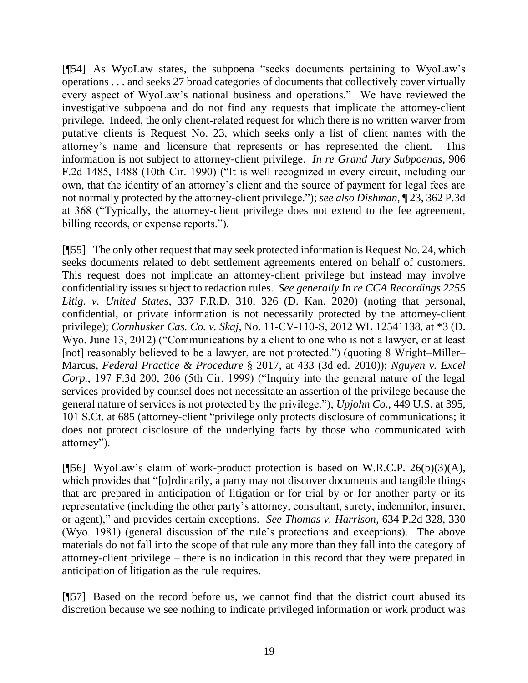[¶54] As WyoLaw states, the subpoena "seeks documents pertaining to WyoLaw's operations . . . and seeks 27 broad categories of documents that collectively cover virtually every aspect of WyoLaw's national business and operations." We have reviewed the investigative subpoena and do not find any requests that implicate the attorney-client privilege. Indeed, the only client-related request for which there is no written waiver from putative clients is Request No. 23, which seeks only a list of client names with the attorney's name and licensure that represents or has represented the client. This information is not subject to attorney-client privilege. *In re Grand Jury Subpoenas*, 906 F.2d 1485, 1488 (10th Cir. 1990) ("It is well recognized in every circuit, including our own, that the identity of an attorney's client and the source of payment for legal fees are not normally protected by the attorney-client privilege."); *see also Dishman*, ¶ 23, 362 P.3d at 368 ("Typically, the attorney-client privilege does not extend to the fee agreement, billing records, or expense reports.").

[¶55] The only other request that may seek protected information is Request No. 24, which seeks documents related to debt settlement agreements entered on behalf of customers. This request does not implicate an attorney-client privilege but instead may involve confidentiality issues subject to redaction rules. *See generally In re CCA Recordings 2255 Litig. v. United States*, 337 F.R.D. 310, 326 (D. Kan. 2020) (noting that personal, confidential, or private information is not necessarily protected by the attorney-client privilege); *Cornhusker Cas. Co. v. Skaj*, No. 11-CV-110-S, 2012 WL 12541138, at \*3 (D. Wyo. June 13, 2012) ("Communications by a client to one who is not a lawyer, or at least [not] reasonably believed to be a lawyer, are not protected.") (quoting 8 Wright–Miller– Marcus, *Federal Practice & Procedure* § 2017, at 433 (3d ed. 2010)); *Nguyen v. Excel Corp.*, 197 F.3d 200, 206 (5th Cir. 1999) ("Inquiry into the general nature of the legal services provided by counsel does not necessitate an assertion of the privilege because the general nature of services is not protected by the privilege."); *Upjohn Co.*, 449 U.S. at 395, 101 S.Ct. at 685 (attorney-client "privilege only protects disclosure of communications; it does not protect disclosure of the underlying facts by those who communicated with attorney").

[¶56] WyoLaw's claim of work-product protection is based on W.R.C.P. 26(b)(3)(A), which provides that "[o]rdinarily, a party may not discover documents and tangible things that are prepared in anticipation of litigation or for trial by or for another party or its representative (including the other party's attorney, consultant, surety, indemnitor, insurer, or agent)," and provides certain exceptions. *See Thomas v. Harrison*, 634 P.2d 328, 330 (Wyo. 1981) (general discussion of the rule's protections and exceptions). The above materials do not fall into the scope of that rule any more than they fall into the category of attorney-client privilege – there is no indication in this record that they were prepared in anticipation of litigation as the rule requires.

[¶57] Based on the record before us, we cannot find that the district court abused its discretion because we see nothing to indicate privileged information or work product was